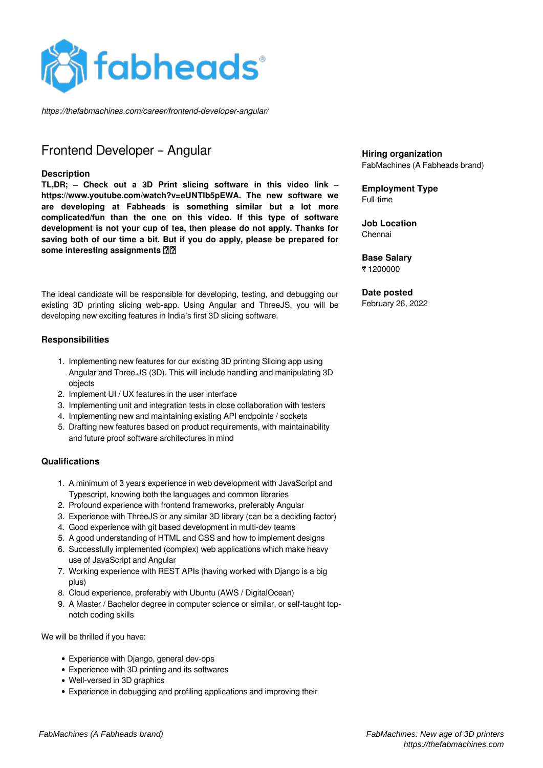

*https://thefabmachines.com/career/frontend-developer-angular/*

# Frontend Developer – Angular

#### **Description**

**TL,DR; – Check out a 3D Print slicing software in this video link – https://www.youtube.com/watch?v=eUNTlb5pEWA. The new software we are developing at Fabheads is something similar but a lot more complicated/fun than the one on this video. If this type of software development is not your cup of tea, then please do not apply. Thanks for saving both of our time a bit. But if you do apply, please be prepared for some interesting assignments** 

The ideal candidate will be responsible for developing, testing, and debugging our existing 3D printing slicing web-app. Using Angular and ThreeJS, you will be developing new exciting features in India's first 3D slicing software.

#### **Responsibilities**

- 1. Implementing new features for our existing 3D printing Slicing app using Angular and Three.JS (3D). This will include handling and manipulating 3D objects
- 2. Implement UI / UX features in the user interface
- 3. Implementing unit and integration tests in close collaboration with testers
- 4. Implementing new and maintaining existing API endpoints / sockets
- 5. Drafting new features based on product requirements, with maintainability and future proof software architectures in mind

#### **Qualifications**

- 1. A minimum of 3 years experience in web development with JavaScript and Typescript, knowing both the languages and common libraries
- 2. Profound experience with frontend frameworks, preferably Angular
- 3. Experience with ThreeJS or any similar 3D library (can be a deciding factor)
- 4. Good experience with git based development in multi-dev teams
- 5. A good understanding of HTML and CSS and how to implement designs
- 6. Successfully implemented (complex) web applications which make heavy use of JavaScript and Angular
- 7. Working experience with REST APIs (having worked with Django is a big plus)
- 8. Cloud experience, preferably with Ubuntu (AWS / DigitalOcean)
- 9. A Master / Bachelor degree in computer science or similar, or self-taught topnotch coding skills

We will be thrilled if you have:

- Experience with Diango, general dev-ops
- Experience with 3D printing and its softwares
- Well-versed in 3D graphics
- Experience in debugging and profiling applications and improving their

#### **Hiring organization** FabMachines (A Fabheads brand)

**Employment Type** Full-time

**Job Location** Chennai

**Base Salary** ₹ 1200000

## **Date posted**

February 26, 2022